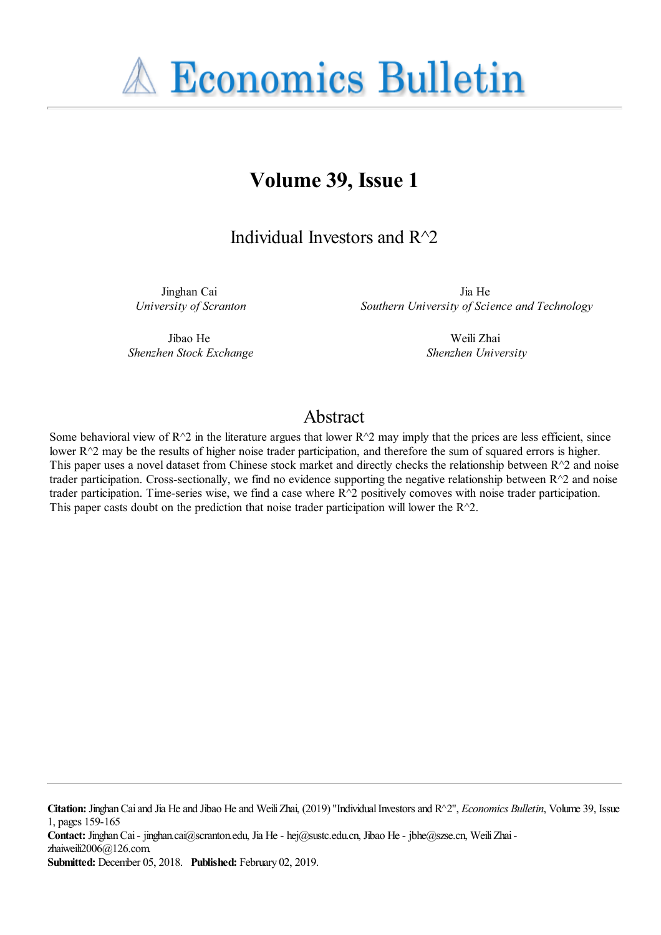

# **Volume 39, Issue 1**

## Individual Investors and R^2

Jinghan Cai *University of Scranton*

Jia He *Southern University of Science and Technology*

Jibao He *Shenzhen Stock Exchange*

Weili Zhai *Shenzhen University*

### Abstract

Some behavioral view of  $R^2$  in the literature argues that lower  $R^2$  may imply that the prices are less efficient, since lower R^2 may be the results of higher noise trader participation, and therefore the sum of squared errors is higher. This paper uses a novel dataset from Chinese stock market and directly checks the relationship between  $R^{\wedge}2$  and noise trader participation. Cross-sectionally, we find no evidence supporting the negative relationship between R^2 and noise trader participation. Time-series wise, we find a case where  $R^2$  positively comoves with noise trader participation. This paper casts doubt on the prediction that noise trader participation will lower the  $R^{\wedge}2$ .

**Citation:** Jinghan Cai and Jia He and Jibao He and Weili Zhai, (2019) ''Individual Investors and R^2'', *Economics Bulletin*, Volume 39, Issue 1, pages 159-165

**Contact:** Jinghan Cai - jinghan.cai@scranton.edu, Jia He - hej@sustc.edu.cn, Jibao He - jbhe@szse.cn, Weili Zhai zhaiweili2006@126.com.

**Submitted:** December 05, 2018. **Published:** February 02, 2019.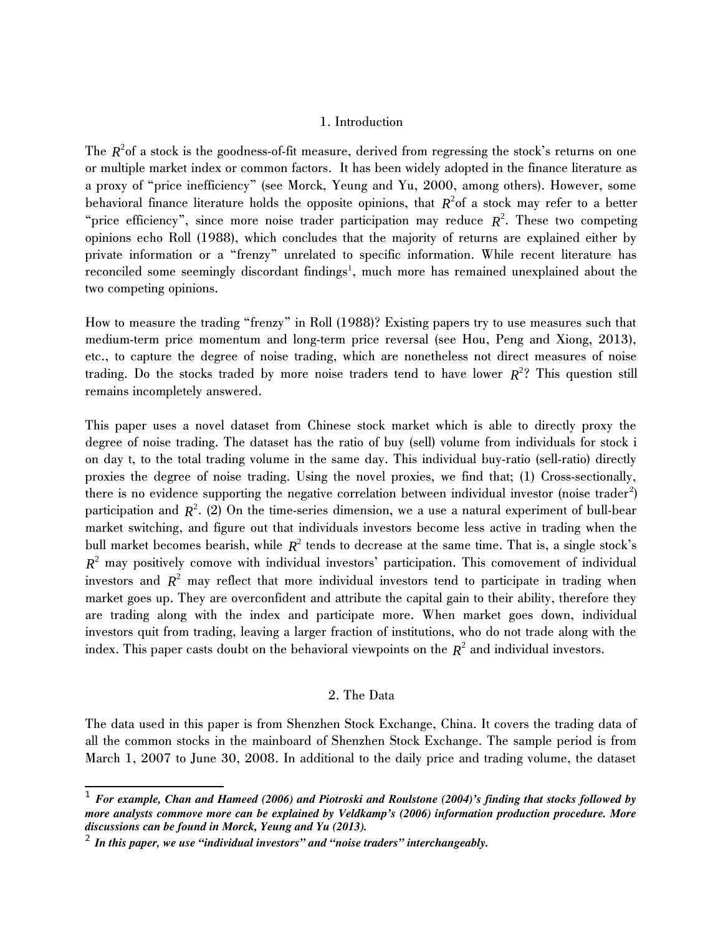#### 1. Introduction

The  $R^2$ of a stock is the goodness-of-fit measure, derived from regressing the stock's returns on one or multiple market index or common factors. It has been widely adopted in the finance literature as a proxy of "price inefficiency" (see Morck, Yeung and Yu, 2000, among others). However, some behavioral finance literature holds the opposite opinions, that  $R^2$ of a stock may refer to a better "price efficiency", since more noise trader participation may reduce  $R^2$ . These two competing opinions echo Roll (1988), which concludes that the majority of returns are explained either by private information or a "frenzy" unrelated to specific information. While recent literature has reconciled some seemingly discordant findings<sup>[1](#page-1-0)</sup>, much more has remained unexplained about the two competing opinions.

How to measure the trading "frenzy" in Roll (1988)? Existing papers try to use measures such that medium-term price momentum and long-term price reversal (see Hou, Peng and Xiong, 2013), etc., to capture the degree of noise trading, which are nonetheless not direct measures of noise trading. Do the stocks traded by more noise traders tend to have lower *R* 2 ? This question still remains incompletely answered.

This paper uses a novel dataset from Chinese stock market which is able to directly proxy the degree of noise trading. The dataset has the ratio of buy (sell) volume from individuals for stock i on day t, to the total trading volume in the same day. This individual buy-ratio (sell-ratio) directly proxies the degree of noise trading. Using the novel proxies, we find that; (1) Cross-sectionally, there is no evidence supporting the negative correlation between individual investor (noise trader<sup>[2](#page-1-1)</sup>) participation and *R*<sup>2</sup>. (2) On the time-series dimension, we a use a natural experiment of bull-bear market switching, and figure out that individuals investors become less active in trading when the bull market becomes bearish, while  $R^2$  tends to decrease at the same time. That is, a single stock's  $R^2$  may positively comove with individual investors' participation. This comovement of individual  $i$ nvestors and  $R^2$  may reflect that more individual investors tend to participate in trading when market goes up. They are overconfident and attribute the capital gain to their ability, therefore they are trading along with the index and participate more. When market goes down, individual investors quit from trading, leaving a larger fraction of institutions, who do not trade along with the index. This paper casts doubt on the behavioral viewpoints on the  $R^2$  and individual investors.

#### 2. The Data

The data used in this paper is from Shenzhen Stock Exchange, China. It covers the trading data of all the common stocks in the mainboard of Shenzhen Stock Exchange. The sample period is from March 1, 2007 to June 30, 2008. In additional to the daily price and trading volume, the dataset

<span id="page-1-0"></span><sup>1</sup> *For example, Chan and Hameed (2006) and Piotroski and Roulstone (2004)'s finding that stocks followed by more analysts commove more can be explained by Veldkamp's (2006) information production procedure. More discussions can be found in Morck, Yeung and Yu (2013).*

<span id="page-1-1"></span><sup>2</sup> *In this paper, we use "individual investors" and "noise traders" interchangeably.*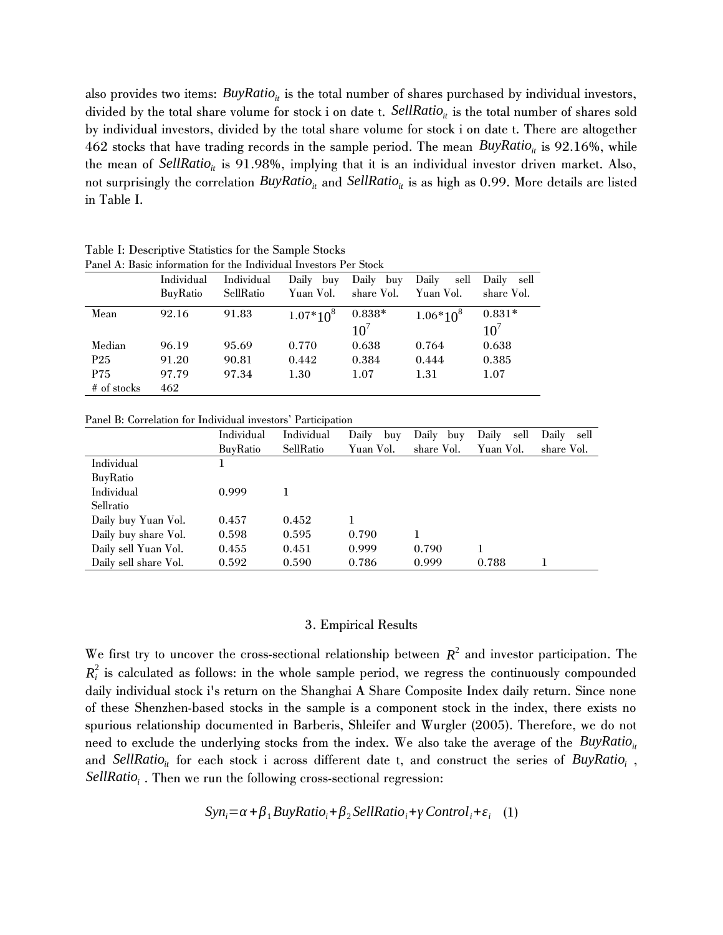also provides two items: *BuyRatio*<sub>*it*</sub> is the total number of shares purchased by individual investors, divided by the total share volume for stock i on date t. SellRatio<sub>*ii*</sub> is the total number of shares sold by individual investors, divided by the total share volume for stock i on date t. There are altogether 462 stocks that have trading records in the sample period. The mean *BuyRatio*<sub>*it*</sub> is 92.16%, while the mean of *SellRatio*<sub>*it*</sub> is 91.98%, implying that it is an individual investor driven market. Also, not surprisingly the correlation *BuyRatio*<sub>*it*</sub> and *SellRatio*<sub>*it*</sub> is as high as 0.99. More details are listed in Table I.

| Panel A: Basic information for the Individual Investors Per Stock |                 |            |               |              |               |                 |  |
|-------------------------------------------------------------------|-----------------|------------|---------------|--------------|---------------|-----------------|--|
|                                                                   | Individual      | Individual | Daily buy     | Daily<br>buy | Daily<br>sell | Daily sell      |  |
|                                                                   | <b>BuyRatio</b> | SellRatio  | Yuan Vol.     | share Vol.   | Yuan Vol.     | share Vol.      |  |
| Mean                                                              | 92.16           | 91.83      | $1.07*10^{8}$ | $0.838*$     | $1.06*10^{8}$ | $0.831*$        |  |
|                                                                   |                 |            |               | $10^7$       |               | 10 <sup>7</sup> |  |
| Median                                                            | 96.19           | 95.69      | 0.770         | 0.638        | 0.764         | 0.638           |  |
| P <sub>25</sub>                                                   | 91.20           | 90.81      | 0.442         | 0.384        | 0.444         | 0.385           |  |
| P75                                                               | 97.79           | 97.34      | 1.30          | 1.07         | 1.31          | 1.07            |  |
| # of stocks                                                       | 462             |            |               |              |               |                 |  |

Table I: Descriptive Statistics for the Sample Stocks

Panel B: Correlation for Individual investors' Participation

|                       | Individual      | Individual | Daily<br>buy | Daily<br>buy | Daily<br>sell | Daily<br>sell |
|-----------------------|-----------------|------------|--------------|--------------|---------------|---------------|
|                       | <b>BuyRatio</b> | SellRatio  | Yuan Vol.    | share Vol.   | Yuan Vol.     | share Vol.    |
| Individual            |                 |            |              |              |               |               |
| <b>BuyRatio</b>       |                 |            |              |              |               |               |
| Individual            | 0.999           |            |              |              |               |               |
| Sellratio             |                 |            |              |              |               |               |
| Daily buy Yuan Vol.   | 0.457           | 0.452      |              |              |               |               |
| Daily buy share Vol.  | 0.598           | 0.595      | 0.790        |              |               |               |
| Daily sell Yuan Vol.  | 0.455           | 0.451      | 0.999        | 0.790        |               |               |
| Daily sell share Vol. | 0.592           | 0.590      | 0.786        | 0.999        | 0.788         |               |

#### 3. Empirical Results

We first try to uncover the cross-sectional relationship between  $R^2$  and investor participation. The  $R_i^2$  is calculated as follows: in the whole sample period, we regress the continuously compounded daily individual stock i's return on the Shanghai A Share Composite Index daily return. Since none of these Shenzhen-based stocks in the sample is a component stock in the index, there exists no spurious relationship documented in Barberis, Shleifer and Wurgler (2005). Therefore, we do not need to exclude the underlying stocks from the index. We also take the average of the *BuyRatio*<sub>*it*</sub> and *SellRatio<sub>it</sub>* for each stock i across different date t, and construct the series of *BuyRatio<sub>i</sub>*, *SellRatio<sup>i</sup>* . Then we run the following cross-sectional regression:

$$
Syn_i = \alpha + \beta_1 BuyRatio_i + \beta_2 SellRatio_i + \gamma Control_i + \varepsilon_i \quad (1)
$$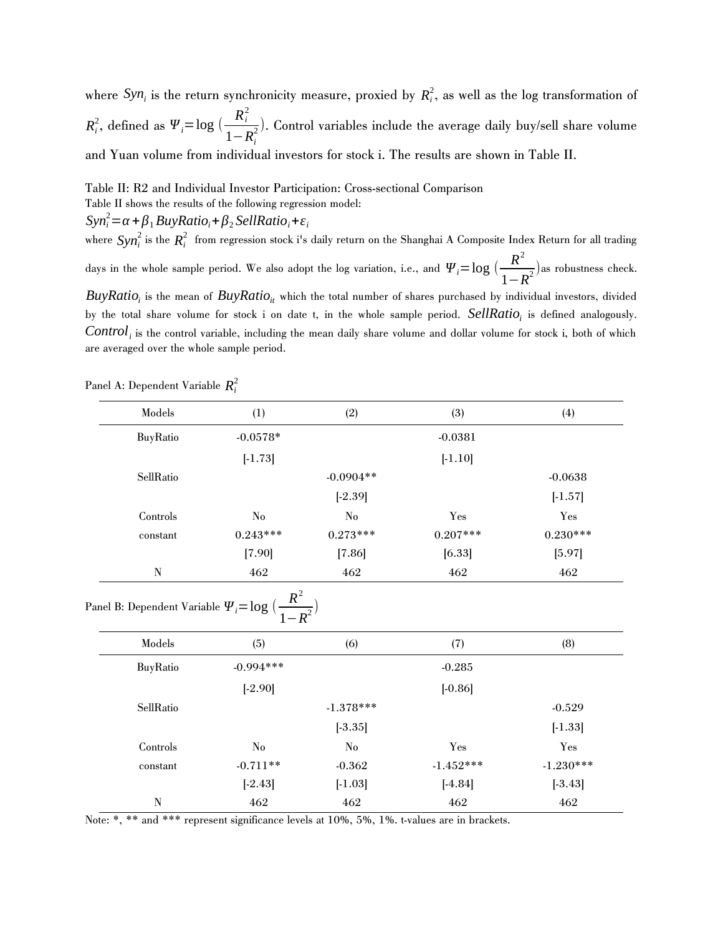where  $Syn_i$  is the return synchronicity measure, proxied by  $R_i^2$ , as well as the log transformation of  $R_i^2$ , defined as  $\Psi_i = \log \left( \frac{R_i^2}{1 - R_i^2} \right)$  $\frac{R_i}{1-R_i^2}$ ). Control variables include the average daily buy/sell share volume and Yuan volume from individual investors for stock i. The results are shown in Table II.

Table II: R2 and Individual Investor Participation: Cross-sectional Comparison

Table II shows the results of the following regression model:

 $\Delta$ *Syn*<sup>2</sup> $=$  $\alpha$  +  $\beta$ <sub>1</sub> *BuyRatio*<sub>*i*</sub> +  $\beta$ <sub>2</sub> *SellRatio*<sub>*i*</sub> +  $\varepsilon$ <sub>*i*</sub>

where  $syn_i^2$  is the  $R_i^2$  from regression stock i's daily return on the Shanghai A Composite Index Return for all trading days in the whole sample period. We also adopt the log variation, i.e., and  $\Psi_i = \log \big( \frac{R^2}{4\pi\epsilon_0^2} \big)$  $\frac{R}{1-R^2}$ ) as robustness check.

 $B$ uy*Rati* $o_i$  is the mean of  $B$ uy*Ratio<sub>it</sub>* which the total number of shares purchased by individual investors, divided by the total share volume for stock i on date t, in the whole sample period. *SellRatio<sup>i</sup>* is defined analogously. *Control<sup>i</sup>* is the control variable, including the mean daily share volume and dollar volume for stock i, both of which are averaged over the whole sample period.

| Models    | (1)        | (2)         | (3)        | (4)        |
|-----------|------------|-------------|------------|------------|
| BuyRatio  | $-0.0578*$ |             | $-0.0381$  |            |
|           | $[-1.73]$  |             | $[-1.10]$  |            |
| SellRatio |            | $-0.0904**$ |            | $-0.0638$  |
|           |            | $[-2.39]$   |            | $[-1.57]$  |
| Controls  | No         | $\rm No$    | Yes        | Yes        |
| constant  | $0.243***$ | $0.273***$  | $0.207***$ | $0.230***$ |
|           | [7.90]     | [7.86]      | [6.33]     | [5.97]     |
| N         | 462        | 462         | 462        | 462        |

Panel A: Dependent Variable *R<sup>i</sup>* 2

Panel B: Dependent Variable  $\Psi_i = \log \big( \frac{R^2}{1 - R^2} \big)$  $\frac{R}{1-R^2}$ 

| Models    | (5)         | (6)         | (7)         | (8)         |
|-----------|-------------|-------------|-------------|-------------|
| BuyRatio  | $-0.994***$ |             | $-0.285$    |             |
|           | $[-2.90]$   |             | $[-0.86]$   |             |
| SellRatio |             | $-1.378***$ |             | $-0.529$    |
|           |             | $[-3.35]$   |             | $[-1.33]$   |
| Controls  | No          | No          | Yes         | Yes         |
| constant  | $-0.711**$  | $-0.362$    | $-1.452***$ | $-1.230***$ |
|           | $[-2.43]$   | $[-1.03]$   | $[-4.84]$   | $[-3.43]$   |
| N         | 462         | 462         | 462         | 462         |
|           |             |             |             |             |

Note: \*, \*\* and \*\*\* represent significance levels at 10%, 5%, 1%. t-values are in brackets.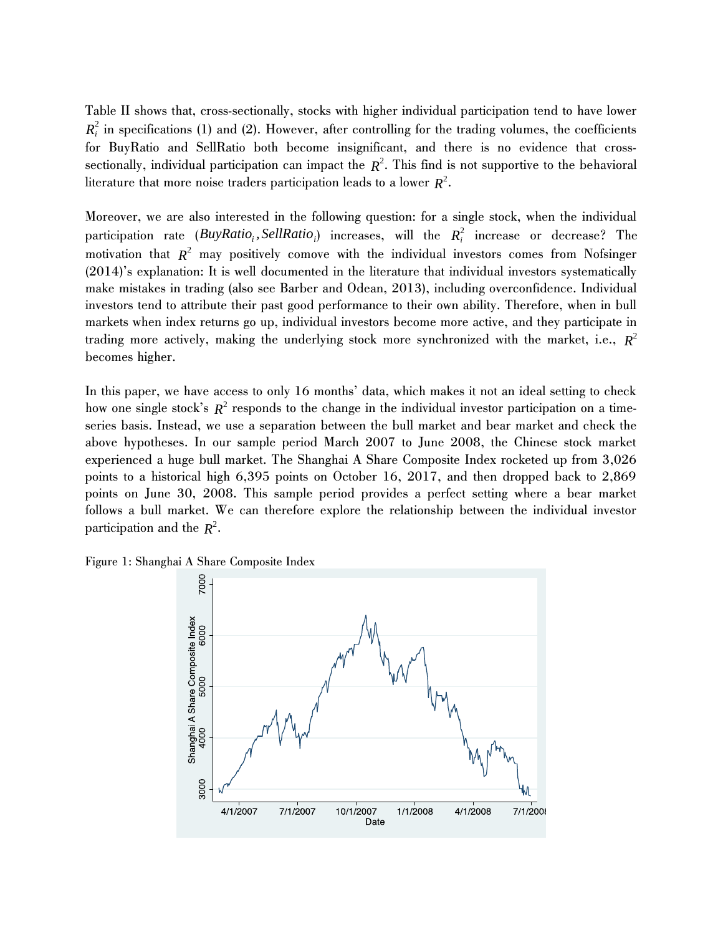Table II shows that, cross-sectionally, stocks with higher individual participation tend to have lower  $R_i^2$  in specifications (1) and (2). However, after controlling for the trading volumes, the coefficients for BuyRatio and SellRatio both become insignificant, and there is no evidence that crosssectionally, individual participation can impact the *R* 2 . This find is not supportive to the behavioral literature that more noise traders participation leads to a lower *R* 2 .

Moreover, we are also interested in the following question: for a single stock, when the individual  $\mathsf{partition}\ \ \mathsf{rate}\ \ (\mathsf{BuyRatio}_i, \mathsf{SellRatio}_i)\ \ \mathsf{increase},\ \ \mathsf{will}\ \ \mathsf{the}\ \ \ R^2_i\ \ \mathsf{increase}\ \ \mathsf{or}\ \ \mathsf{decrease?}\ \ \mathsf{The}\ \ \mathsf{incomplete}$ motivation that  $R^2$  may positively comove with the individual investors comes from Nofsinger (2014)'s explanation: It is well documented in the literature that individual investors systematically make mistakes in trading (also see Barber and Odean, 2013), including overconfidence. Individual investors tend to attribute their past good performance to their own ability. Therefore, when in bull markets when index returns go up, individual investors become more active, and they participate in trading more actively, making the underlying stock more synchronized with the market, i.e., *R* 2 becomes higher.

In this paper, we have access to only 16 months' data, which makes it not an ideal setting to check how one single stock's  $R^2$  responds to the change in the individual investor participation on a timeseries basis. Instead, we use a separation between the bull market and bear market and check the above hypotheses. In our sample period March 2007 to June 2008, the Chinese stock market experienced a huge bull market. The Shanghai A Share Composite Index rocketed up from 3,026 points to a historical high 6,395 points on October 16, 2017, and then dropped back to 2,869 points on June 30, 2008. This sample period provides a perfect setting where a bear market follows a bull market. We can therefore explore the relationship between the individual investor participation and the *R* 2 .

Figure 1: Shanghai A Share Composite Index

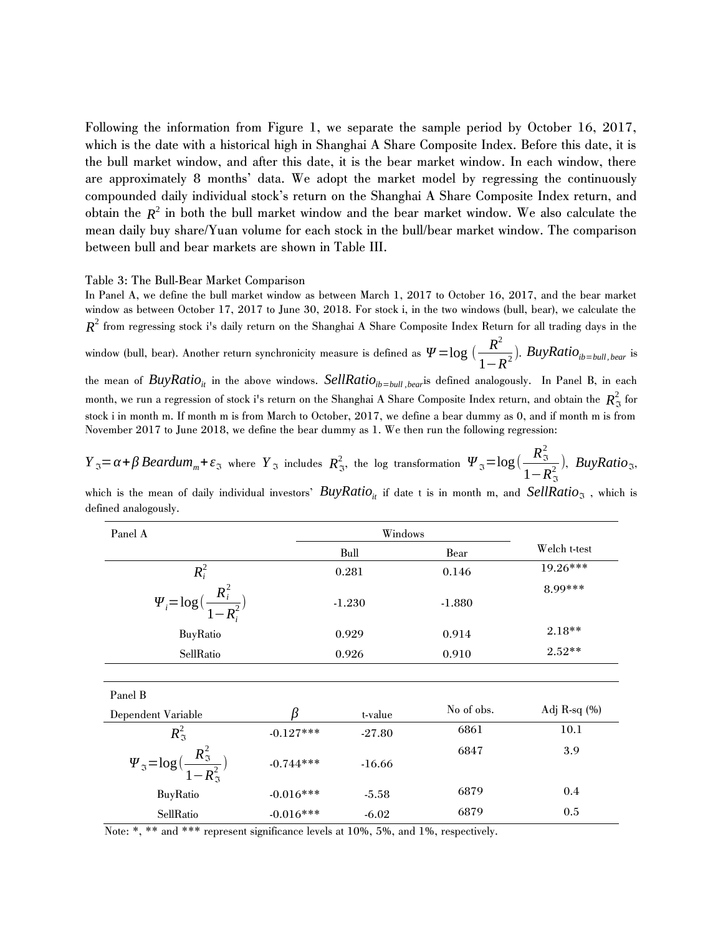Following the information from Figure 1, we separate the sample period by October 16, 2017, which is the date with a historical high in Shanghai A Share Composite Index. Before this date, it is the bull market window, and after this date, it is the bear market window. In each window, there are approximately 8 months' data. We adopt the market model by regressing the continuously compounded daily individual stock's return on the Shanghai A Share Composite Index return, and obtain the  $R^2$  in both the bull market window and the bear market window. We also calculate the mean daily buy share/Yuan volume for each stock in the bull/bear market window. The comparison between bull and bear markets are shown in Table III.

Table 3: The Bull-Bear Market Comparison

In Panel A, we define the bull market window as between March 1, 2017 to October 16, 2017, and the bear market window as between October 17, 2017 to June 30, 2018. For stock i, in the two windows (bull, bear), we calculate the  $R^2$  from regressing stock i's daily return on the Shanghai A Share Composite Index Return for all trading days in the

window (bull, bear). Another return synchronicity measure is defined as  $\Psi = \log \left( \frac{R^2}{\sigma^2} \right)$ 1−*R* 2 ). *BuyRatioib*=*bull, bear* is the mean of *BuyRatio*<sub>it</sub> in the above windows. *SellRatio*<sub>ib=bull</sub>, bear<sup>is</sup> defined analogously. In Panel B, in each month, we run a regression of stock i's return on the Shanghai A Share Composite Index return, and obtain the  $\,R^2_\Im\,$  for stock i in month m. If month m is from March to October, 2017, we define a bear dummy as 0, and if month m is from November 2017 to June 2018, we define the bear dummy as 1. We then run the following regression:

*Y*<sub>3</sub> = *α* + *β Beardum*<sub>*m*</sub> +  $\varepsilon$ <sub>3</sub> where *Y*<sub>3</sub> includes  $R_3^2$ , the log transformation  $\Psi_{3} = \log(\frac{R_3^2}{1 - R_3^2})$  $\frac{R_3}{1-R_3^2}$ ), *BuyRatio*<sub>3</sub>,

which is the mean of daily individual investors' *BuyRatio*<sub>*it*</sub> if date t is in month m, and *SellRatio* $<sub>3</sub>$ , which is</sub> defined analogously.

| Panel A                                                                                          |             | Windows  |            |                  |
|--------------------------------------------------------------------------------------------------|-------------|----------|------------|------------------|
|                                                                                                  |             | Bull     | Bear       | Welch t-test     |
| $R_i^2$                                                                                          |             | 0.281    | 0.146      | 19.26***         |
| $\Psi_i = \log \bigl( \frac{R_i^2}{1-R_i^2} \bigr)$                                              |             | $-1.230$ | $-1.880$   | 8.99***          |
| BuyRatio                                                                                         |             | 0.929    | 0.914      | $2.18**$         |
| SellRatio                                                                                        |             | 0.926    | 0.910      | $2.52**$         |
|                                                                                                  |             |          |            |                  |
| Panel B                                                                                          |             |          |            |                  |
| Dependent Variable                                                                               |             | t-value  | No of obs. | Adj R-sq $(\% )$ |
| $R_{\mathfrak{I}}^2$                                                                             | $-0.127***$ | $-27.80$ | 6861       | 10.1             |
| $\varPsi_{\mathfrak{I}}\!=\!\log\bigl(\frac{R_{\mathfrak{I}}^2}{1\!-\!R_{\mathfrak{I}}^2}\bigr)$ | $-0.744***$ | $-16.66$ | 6847       | 3.9              |
| BuyRatio                                                                                         | $-0.016***$ | $-5.58$  | 6879       | 0.4              |
| SellRatio                                                                                        | $-0.016***$ | $-6.02$  | 6879       | 0.5              |

Note: \*, \*\* and \*\*\* represent significance levels at 10%, 5%, and 1%, respectively.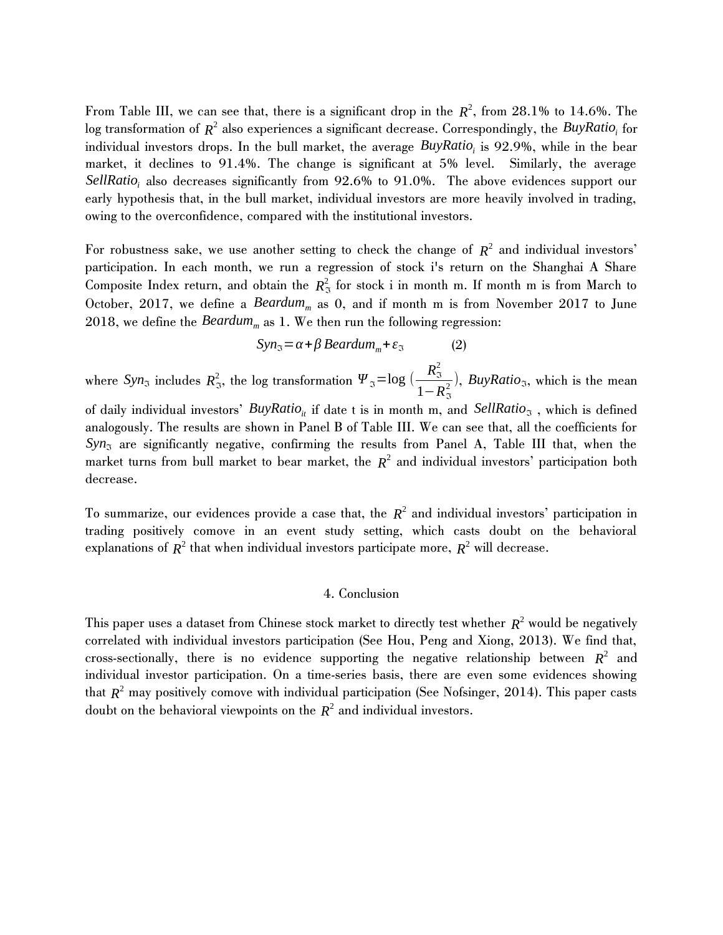From Table III, we can see that, there is a significant drop in the  $R^2$ , from 28.1% to 14.6%. The  $\log$  transformation of  $R^2$  also experiences a significant decrease. Correspondingly, the  $B$ uyRati $o_i$  for individual investors drops. In the bull market, the average *BuyRatio<sup>i</sup>* is 92.9%, while in the bear market, it declines to 91.4%. The change is significant at 5% level. Similarly, the average *SellRatio<sup>i</sup>* also decreases significantly from 92.6% to 91.0%. The above evidences support our early hypothesis that, in the bull market, individual investors are more heavily involved in trading, owing to the overconfidence, compared with the institutional investors.

For robustness sake, we use another setting to check the change of  $R^2$  and individual investors' participation. In each month, we run a regression of stock i's return on the Shanghai A Share Composite Index return, and obtain the  $R_3^2$  for stock i in month m. If month m is from March to October, 2017, we define a *Beardumm* as 0, and if month m is from November 2017 to June 2018, we define the *Beardum*<sub>*m*</sub> as 1. We then run the following regression:

$$
Syn_{\mathfrak{S}} = \alpha + \beta \, Beardum_m + \varepsilon_{\mathfrak{S}} \tag{2}
$$

where *Syn*<sub>3</sub> includes  $R_3^2$ , the log transformation  $\Psi_3 = \log \left( \frac{R_3^2}{1 - R_3^2} \right)$  $\frac{R_3}{1-R_3^2}$ , *BuyRatio*<sub>3</sub>, which is the mean of daily individual investors' *BuyRatio*<sub>*it*</sub> if date t is in month m, and *SellRatio*<sub>3</sub>, which is defined analogously. The results are shown in Panel B of Table III. We can see that, all the coefficients for  $Syn_{\mathfrak{A}}$  are significantly negative, confirming the results from Panel A, Table III that, when the market turns from bull market to bear market, the *R* 2 and individual investors' participation both decrease.

To summarize, our evidences provide a case that, the  $R^2$  and individual investors' participation in trading positively comove in an event study setting, which casts doubt on the behavioral explanations of  $R^2$  that when individual investors participate more,  $R^2$  will decrease.

#### 4. Conclusion

This paper uses a dataset from Chinese stock market to directly test whether  $R^2$  would be negatively correlated with individual investors participation (See Hou, Peng and Xiong, 2013). We find that, cross-sectionally, there is no evidence supporting the negative relationship between  $R^2$  and individual investor participation. On a time-series basis, there are even some evidences showing that  $R^2$  may positively comove with individual participation (See Nofsinger, 2014). This paper casts doubt on the behavioral viewpoints on the  $R^2$  and individual investors.